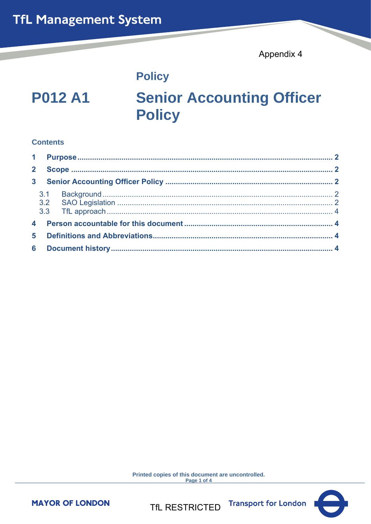Appendix 4

# **Policy**

# **P012 A1**

# **Senior Accounting Officer Policy**

# **Contents**

Printed copies of this document are uncontrolled. Page 1 of 4



**Transport for London** 

**MAYOR OF LONDON** 

**TfL RESTRICTED**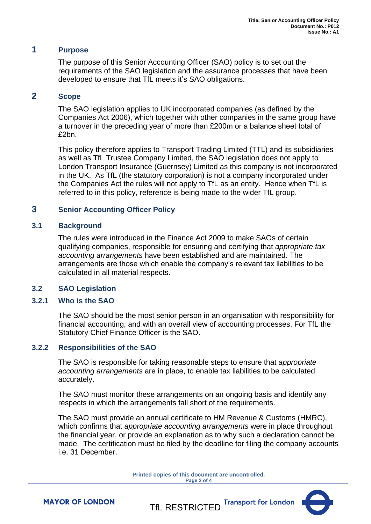# <span id="page-1-0"></span>**1 Purpose**

The purpose of this Senior Accounting Officer (SAO) policy is to set out the requirements of the SAO legislation and the assurance processes that have been developed to ensure that TfL meets it's SAO obligations.

# <span id="page-1-1"></span>**2 Scope**

The SAO legislation applies to UK incorporated companies (as defined by the Companies Act 2006), which together with other companies in the same group have a turnover in the preceding year of more than £200m or a balance sheet total of £2bn.

This policy therefore applies to Transport Trading Limited (TTL) and its subsidiaries as well as TfL Trustee Company Limited, the SAO legislation does not apply to London Transport Insurance (Guernsey) Limited as this company is not incorporated in the UK. As TfL (the statutory corporation) is not a company incorporated under the Companies Act the rules will not apply to TfL as an entity. Hence when TfL is referred to in this policy, reference is being made to the wider TfL group.

# <span id="page-1-2"></span>**3 Senior Accounting Officer Policy**

#### <span id="page-1-3"></span>**3.1 Background**

The rules were introduced in the Finance Act 2009 to make SAOs of certain qualifying companies, responsible for ensuring and certifying that *appropriate tax accounting arrangements* have been established and are maintained. The arrangements are those which enable the company's relevant tax liabilities to be calculated in all material respects.

#### <span id="page-1-4"></span>**3.2 SAO Legislation**

#### **3.2.1 Who is the SAO**

The SAO should be the most senior person in an organisation with responsibility for financial accounting, and with an overall view of accounting processes. For TfL the Statutory Chief Finance Officer is the SAO.

#### **3.2.2 Responsibilities of the SAO**

The SAO is responsible for taking reasonable steps to ensure that *appropriate accounting arrangements* are in place, to enable tax liabilities to be calculated accurately.

The SAO must monitor these arrangements on an ongoing basis and identify any respects in which the arrangements fall short of the requirements.

The SAO must provide an annual certificate to HM Revenue & Customs (HMRC), which confirms that *appropriate accounting arrangements* were in place throughout the financial year, or provide an explanation as to why such a declaration cannot be made. The certification must be filed by the deadline for filing the company accounts i.e. 31 December.

> **Printed copies of this document are uncontrolled. Page 2 of 4**



**MAYOR OF LONDON** 

**Transport for London** TfL RESTRICTED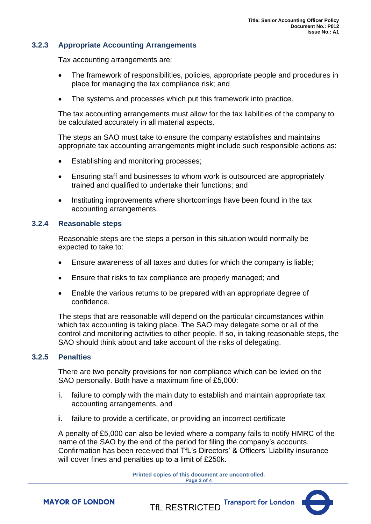# **3.2.3 Appropriate Accounting Arrangements**

Tax accounting arrangements are:

- The framework of responsibilities, policies, appropriate people and procedures in place for managing the tax compliance risk; and
- The systems and processes which put this framework into practice.

The tax accounting arrangements must allow for the tax liabilities of the company to be calculated accurately in all material aspects.

The steps an SAO must take to ensure the company establishes and maintains appropriate tax accounting arrangements might include such responsible actions as:

- Establishing and monitoring processes;
- Ensuring staff and businesses to whom work is outsourced are appropriately trained and qualified to undertake their functions; and
- Instituting improvements where shortcomings have been found in the tax accounting arrangements.

#### **3.2.4 Reasonable steps**

Reasonable steps are the steps a person in this situation would normally be expected to take to:

- Ensure awareness of all taxes and duties for which the company is liable;
- Ensure that risks to tax compliance are properly managed; and
- Enable the various returns to be prepared with an appropriate degree of confidence.

The steps that are reasonable will depend on the particular circumstances within which tax accounting is taking place. The SAO may delegate some or all of the control and monitoring activities to other people. If so, in taking reasonable steps, the SAO should think about and take account of the risks of delegating.

# **3.2.5 Penalties**

There are two penalty provisions for non compliance which can be levied on the SAO personally. Both have a maximum fine of £5,000:

- i. failure to comply with the main duty to establish and maintain appropriate tax accounting arrangements, and
- ii. failure to provide a certificate, or providing an incorrect certificate

A penalty of £5,000 can also be levied where a company fails to notify HMRC of the name of the SAO by the end of the period for filing the company's accounts. Confirmation has been received that TfL's Directors' & Officers' Liability insurance will cover fines and penalties up to a limit of £250k.

> **Printed copies of this document are uncontrolled. Page 3 of 4**



**MAYOR OF LONDON**